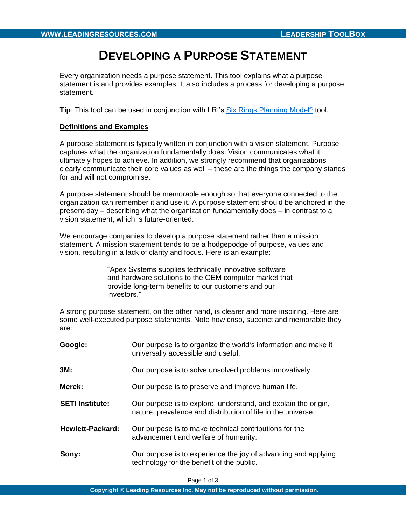# **DEVELOPING A PURPOSE STATEMENT**

Every organization needs a purpose statement. This tool explains what a purpose statement is and provides examples. It also includes a process for developing a purpose statement.

**Tip**: This tool can be used in conjunction with LRI's **Six Rings Planning Model<sup>©</sup> tool**.

#### **Definitions and Examples**

A purpose statement is typically written in conjunction with a vision statement. Purpose captures what the organization fundamentally does. Vision communicates what it ultimately hopes to achieve. In addition, we strongly recommend that organizations clearly communicate their core values as well – these are the things the company stands for and will not compromise.

A purpose statement should be memorable enough so that everyone connected to the organization can remember it and use it. A purpose statement should be anchored in the present-day – describing what the organization fundamentally does – in contrast to a vision statement, which is future-oriented.

We encourage companies to develop a purpose statement rather than a mission statement. A mission statement tends to be a hodgepodge of purpose, values and vision, resulting in a lack of clarity and focus. Here is an example:

> "Apex Systems supplies technically innovative software and hardware solutions to the OEM computer market that provide long-term benefits to our customers and our investors."

A strong purpose statement, on the other hand, is clearer and more inspiring. Here are some well-executed purpose statements. Note how crisp, succinct and memorable they are:

| Google:                 | Our purpose is to organize the world's information and make it<br>universally accessible and useful.                           |
|-------------------------|--------------------------------------------------------------------------------------------------------------------------------|
| 3M:                     | Our purpose is to solve unsolved problems innovatively.                                                                        |
| Merck:                  | Our purpose is to preserve and improve human life.                                                                             |
| <b>SETI Institute:</b>  | Our purpose is to explore, understand, and explain the origin,<br>nature, prevalence and distribution of life in the universe. |
| <b>Hewlett-Packard:</b> | Our purpose is to make technical contributions for the<br>advancement and welfare of humanity.                                 |
| Sony:                   | Our purpose is to experience the joy of advancing and applying<br>technology for the benefit of the public.                    |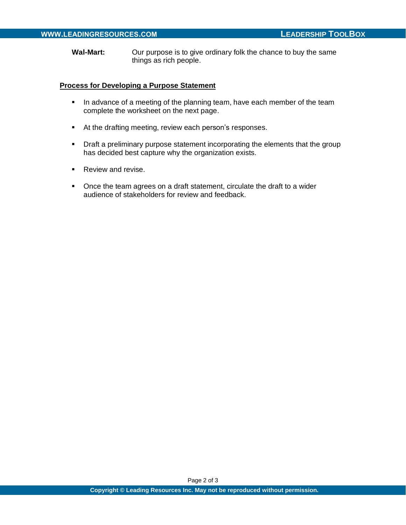**Wal-Mart:** Our purpose is to give ordinary folk the chance to buy the same things as rich people.

#### **Process for Developing a Purpose Statement**

- **•** In advance of a meeting of the planning team, have each member of the team complete the worksheet on the next page.
- At the drafting meeting, review each person's responses.
- **•** Draft a preliminary purpose statement incorporating the elements that the group has decided best capture why the organization exists.
- Review and revise.
- Once the team agrees on a draft statement, circulate the draft to a wider audience of stakeholders for review and feedback.